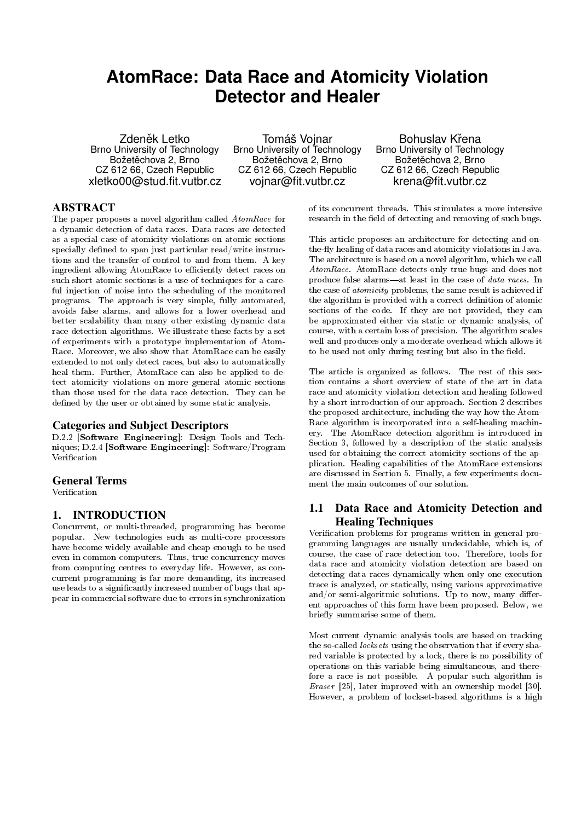# **AtomRace: Data Race and Atomicity Violation Detector and Healer**

Zdeněk Letko Brno University of Technology Božetěchova 2, Brno CZ 612 66, Czech Republic xletko00@stud.fit.vutbr.cz

Tomáš Vojnar Brno University of Technology Božetěchova 2, Brno CZ 612 66, Czech Republic vojnar@fit.vutbr.cz

Bohuslav Křena Brno University of Technology Božetěchova 2, Brno CZ 612 66, Czech Republic krena@fit.vutbr.cz

# ABSTRACT

The paper proposes a novel algorithm called AtomRace for a dynamic detection of data races. Data races are detected as a special case of atomicity violations on atomic sections specially defined to span just particular read/write instructions and the transfer of control to and from them. A key ingredient allowing AtomRace to efficiently detect races on such short atomic sections is a use of techniques for a careful injection of noise into the scheduling of the monitored programs. The approach is very simple, fully automated, avoids false alarms, and allows for a lower overhead and better scalability than many other existing dynamic data race detection algorithms. We illustrate these facts by a set of experiments with a prototype implementation of Atom-Race. Moreover, we also show that AtomRace can be easily extended to not only detect races, but also to automatically heal them. Further, AtomRace can also be applied to detect atomicity violations on more general atomic sections than those used for the data race detection. They can be defined by the user or obtained by some static analysis.

#### Categories and Subject Descriptors

D.2.2 [Software Engineering]: Design Tools and Techniques; D.2.4 [Software Engineering]: Software/Program Verification

#### General Terms

Verification

### 1. INTRODUCTION

Concurrent, or multi-threaded, programming has become popular. New technologies such as multi-core processors have become widely available and cheap enough to be used even in common computers. Thus, true concurrency moves from computing centres to everyday life. However, as concurrent programming is far more demanding, its increased use leads to a signicantly increased number of bugs that appear in commercial software due to errors in synchronization

This article proposes an architecture for detecting and onthe-fly healing of data races and atomicity violations in Java. The architecture is based on a novel algorithm, which we call AtomRace. AtomRace detects only true bugs and does not produce false alarms—at least in the case of  $\emph{data races}$  . In the case of atomicity problems, the same result is achieved if the algorithm is provided with a correct definition of atomic sections of the code. If they are not provided, they can be approximated either via static or dynamic analysis, of course, with a certain loss of precision. The algorithm scales well and produces only a moderate overhead which allows it to be used not only during testing but also in the field.

of its concurrent threads. This stimulates a more intensive research in the field of detecting and removing of such bugs.

The article is organized as follows. The rest of this section contains a short overview of state of the art in data race and atomicity violation detection and healing followed by a short introduction of our approach. Section 2 describes the proposed architecture, including the way how the Atom-Race algorithm is incorporated into a self-healing machinery. The AtomRace detection algorithm is introduced in Section 3, followed by a description of the static analysis used for obtaining the correct atomicity sections of the application. Healing capabilities of the AtomRace extensions are discussed in Section 5. Finally, a few experiments document the main outcomes of our solution.

# 1.1 Data Race and Atomicity Detection and Healing Techniques

Verification problems for programs written in general programming languages are usually undecidable, which is, of course, the case of race detection too. Therefore, tools for data race and atomicity violation detection are based on detecting data races dynamically when only one execution trace is analyzed, or statically, using various approximative and/or semi-algoritmic solutions. Up to now, many different approaches of this form have been proposed. Below, we briefly summarise some of them.

Most current dynamic analysis tools are based on tracking the so-called *locksets* using the observation that if every shared variable is protected by a lock, there is no possibility of operations on this variable being simultaneous, and therefore a race is not possible. A popular such algorithm is Eraser [25], later improved with an ownership model [30]. However, a problem of lockset-based algorithms is a high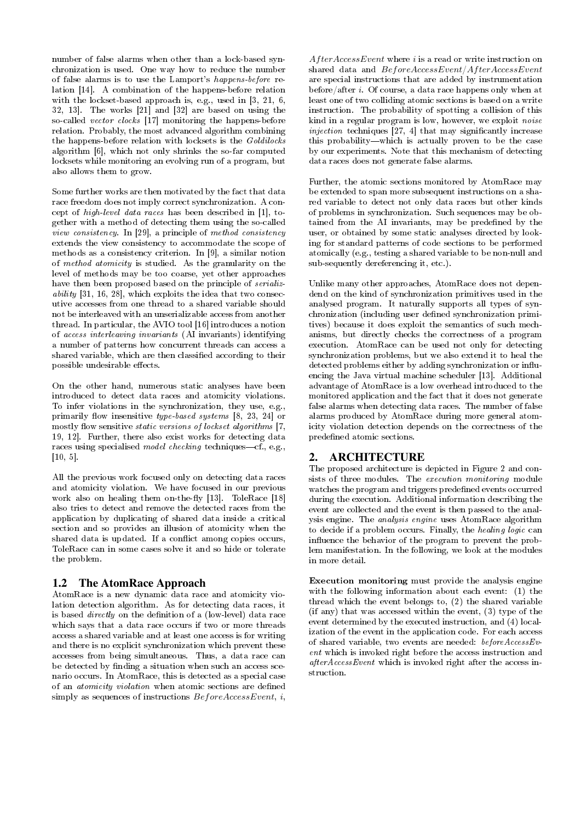number of false alarms when other than a lock-based synchronization is used. One way how to reduce the number of false alarms is to use the Lamport's happens-before relation [14]. A combination of the happens-before relation with the lockset-based approach is, e.g., used in [3, 21, 6, 32, 13]. The works [21] and [32] are based on using the so-called vector clocks [17] monitoring the happens-before relation. Probably, the most advanced algorithm combining the happens-before relation with locksets is the Goldilocks algorithm [6], which not only shrinks the so-far computed locksets while monitoring an evolving run of a program, but also allows them to grow.

Some further works are then motivated by the fact that data race freedom does not imply correct synchronization. A concept of high-level data races has been described in [1], together with a method of detecting them using the so-called view consistency. In [29], a principle of method consistency extends the view consistency to accommodate the scope of methods as a consistency criterion. In [9], a similar notion of method atomicity is studied. As the granularity on the level of methods may be too coarse, yet other approaches have then been proposed based on the principle of *serializ*ability [31, 16, 28], which exploits the idea that two consecutive accesses from one thread to a shared variable should not be interleaved with an unserializable access from another thread. In particular, the AVIO tool [16] introduces a notion of access interleaving invariants (AI invariants) identifying a number of patterns how concurrent threads can access a shared variable, which are then classified according to their possible undesirable effects.

On the other hand, numerous static analyses have been introduced to detect data races and atomicity violations. To infer violations in the synchronization, they use, e.g., primarily flow insensitive type-based systems  $[8, 23, 24]$  or mostly flow sensitive *static versions of lockset algorithms*  $[7,$ 19, 12]. Further, there also exist works for detecting data races using specialised model checking techniques—cf., e.g., [10, 5].

All the previous work focused only on detecting data races and atomicity violation. We have focused in our previous work also on healing them on-the-fly  $[13]$ . ToleRace  $[18]$ also tries to detect and remove the detected races from the application by duplicating of shared data inside a critical section and so provides an illusion of atomicity when the shared data is updated. If a conflict among copies occurs, ToleRace can in some cases solve it and so hide or tolerate the problem.

# 1.2 The AtomRace Approach

AtomRace is a new dynamic data race and atomicity violation detection algorithm. As for detecting data races, it is based *directly* on the definition of a (low-level) data race which says that a data race occurs if two or more threads access a shared variable and at least one access is for writing and there is no explicit synchronization which prevent these accesses from being simultaneous. Thus, a data race can be detected by finding a situation when such an access scenario occurs. In AtomRace, this is detected as a special case of an *atomicity violation* when atomic sections are defined simply as sequences of instructions  $BeforeAccessEvent$ , i,

 $After AccessEvent$  where  $i$  is a read or write instruction on shared data and  $BeforeAccessEvent/AfterAccessEvent$ are special instructions that are added by instrumentation before/after i. Of course, a data race happens only when at least one of two colliding atomic sections is based on a write instruction. The probability of spotting a collision of this kind in a regular program is low, however, we exploit noise  $injection$  techniques [27, 4] that may significantly increase this probability—which is actually proven to be the case by our experiments. Note that this mechanism of detecting data races does not generate false alarms.

Further, the atomic sections monitored by AtomRace may be extended to span more subsequent instructions on a shared variable to detect not only data races but other kinds of problems in synchronization. Such sequences may be obtained from the AI invariants, may be predefined by the user, or obtained by some static analyses directed by looking for standard patterns of code sections to be performed atomically (e.g., testing a shared variable to be non-null and sub-sequently dereferencing it, etc.).

Unlike many other approaches, AtomRace does not dependend on the kind of synchronization primitives used in the analysed program. It naturally supports all types of synchronization (including user defined synchronization primitives) because it does exploit the semantics of such mechanisms, but directly checks the correctness of a program execution. AtomRace can be used not only for detecting synchronization problems, but we also extend it to heal the detected problems either by adding synchronization or influencing the Java virtual machine scheduler [13]. Additional advantage of AtomRace is a low overhead introduced to the monitored application and the fact that it does not generate false alarms when detecting data races. The number of false alarms produced by AtomRace during more general atomicity violation detection depends on the correctness of the predened atomic sections.

# 2. ARCHITECTURE

The proposed architecture is depicted in Figure 2 and consists of three modules. The execution monitoring module watches the program and triggers predefined events occurred during the execution. Additional information describing the event are collected and the event is then passed to the analysis engine. The analysis engine uses AtomRace algorithm to decide if a problem occurs. Finally, the healing logic can influence the behavior of the program to prevent the problem manifestation. In the following, we look at the modules in more detail.

Execution monitoring must provide the analysis engine with the following information about each event: (1) the thread which the event belongs to, (2) the shared variable (if any) that was accessed within the event, (3) type of the event determined by the executed instruction, and (4) localization of the event in the application code. For each access of shared variable, two events are needed: beforeAccessEvent which is invoked right before the access instruction and afterAccessEvent which is invoked right after the access instruction.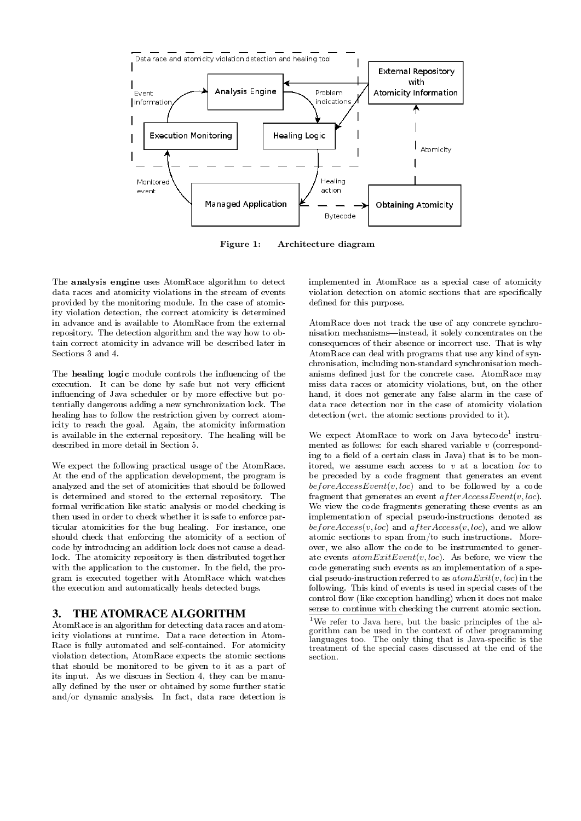

Figure 1: Architecture diagram

The analysis engine uses AtomRace algorithm to detect data races and atomicity violations in the stream of events provided by the monitoring module. In the case of atomicity violation detection, the correct atomicity is determined in advance and is available to AtomRace from the external repository. The detection algorithm and the way how to obtain correct atomicity in advance will be described later in Sections 3 and 4.

The healing logic module controls the influencing of the execution. It can be done by safe but not very efficient influencing of Java scheduler or by more effective but potentially dangerous adding a new synchronization lock. The healing has to follow the restriction given by correct atomicity to reach the goal. Again, the atomicity information is available in the external repository. The healing will be described in more detail in Section 5.

We expect the following practical usage of the AtomRace. At the end of the application development, the program is analyzed and the set of atomicities that should be followed is determined and stored to the external repository. The formal verification like static analysis or model checking is then used in order to check whether it is safe to enforce particular atomicities for the bug healing. For instance, one should check that enforcing the atomicity of a section of code by introducing an addition lock does not cause a deadlock. The atomicity repository is then distributed together with the application to the customer. In the field, the program is executed together with AtomRace which watches the execution and automatically heals detected bugs.

### 3. THE ATOMRACE ALGORITHM

AtomRace is an algorithm for detecting data races and atomicity violations at runtime. Data race detection in Atom-Race is fully automated and self-contained. For atomicity violation detection, AtomRace expects the atomic sections that should be monitored to be given to it as a part of its input. As we discuss in Section 4, they can be manually defined by the user or obtained by some further static and/or dynamic analysis. In fact, data race detection is

implemented in AtomRace as a special case of atomicity violation detection on atomic sections that are specifically defined for this purpose.

AtomRace does not track the use of any concrete synchronisation mechanisms—instead, it solely concentrates on the consequences of their absence or incorrect use. That is why AtomRace can deal with programs that use any kind of synchronisation, including non-standard synchronisation mechanisms defined just for the concrete case. AtomRace may miss data races or atomicity violations, but, on the other hand, it does not generate any false alarm in the case of data race detection nor in the case of atomicity violation detection (wrt. the atomic sections provided to it).

We expect AtomRace to work on Java bytecode<sup>1</sup> instrumented as follows: for each shared variable v (corresponding to a field of a certain class in Java) that is to be monitored, we assume each access to  $v$  at a location loc to be preceded by a code fragment that generates an event  $beforeAccessEvent(v, loc)$  and to be followed by a code fragment that generates an event  $after AccessEvent(v, loc)$ . We view the code fragments generating these events as an implementation of special pseudo-instructions denoted as before  $Access(v, loc)$  and  $after Access(v, loc)$ , and we allow atomic sections to span from/to such instructions. Moreover, we also allow the code to be instrumented to generate events  $atomExitEvent(v, loc)$ . As before, we view the code generating such events as an implementation of a special pseudo-instruction referred to as  $atomExit(v, loc)$  in the following. This kind of events is used in special cases of the control flow (like exception handling) when it does not make sense to continue with checking the current atomic section.

<sup>1</sup>We refer to Java here, but the basic principles of the algorithm can be used in the context of other programming languages too. The only thing that is Java-specific is the treatment of the special cases discussed at the end of the section.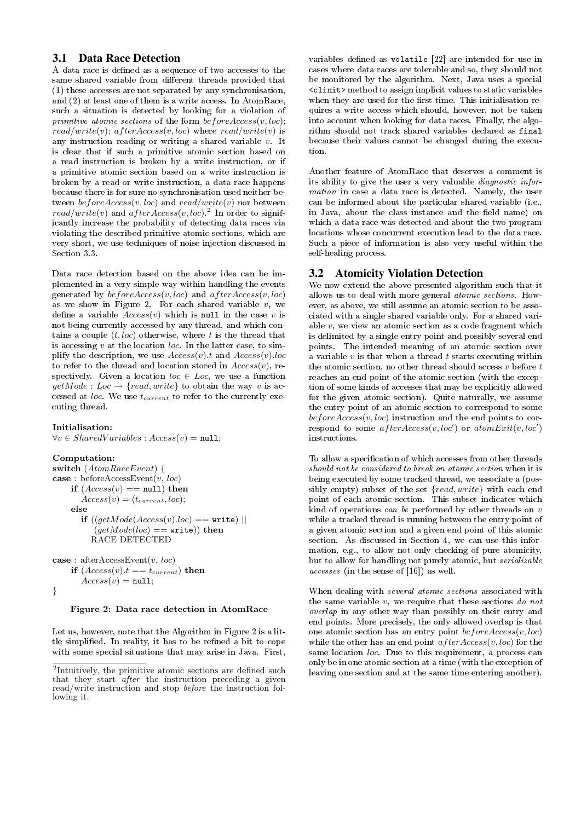### 3.1 Data Race Detection

A data race is defined as a sequence of two accesses to the same shared variable from different threads provided that (1) these accesses are not separated by any synchronisation, and (2) at least one of them is a write access. In AtomRace, such a situation is detected by looking for a violation of primitive atomic sections of the form  $beforeAccess(v, loc);$  $read/write(v); after Access(v, loc)$  where  $read/write(v)$  is any instruction reading or writing a shared variable v. It is clear that if such a primitive atomic section based on a read instruction is broken by a write instruction, or if a primitive atomic section based on a write instruction is broken by a read or write instruction, a data race happens because there is for sure no synchronisation used neither between before $Access(v, loc)$  and  $read/write(v)$  nor between  $read/write(v)$  and  $afterAccess(v, loc)^2$  In order to significantly increase the probability of detecting data races via violating the described primitive atomic sections, which are very short, we use techniques of noise injection discussed in Section 3.3.

Data race detection based on the above idea can be implemented in a very simple way within handling the events generated by  $beforeAccess(v, loc)$  and  $afterAccess(v, loc)$ as we show in Figure 2. For each shared variable  $v$ , we define a variable  $Access(v)$  which is null in the case v is not being currently accessed by any thread, and which contains a couple  $(t, loc)$  otherwise, where t is the thread that is accessing  $v$  at the location *loc*. In the latter case, to simplify the description, we use  $Access(v).t$  and  $Access(v).loc$ to refer to the thread and location stored in  $Access(v)$ , respectively. Given a location  $loc \in Loc$ , we use a function  $getMode: Loc \rightarrow \{read, write\}$  to obtain the way v is accessed at *loc*. We use  $t_{current}$  to refer to the currently executing thread.

#### Initialisation:

 $\forall v \in SharedVariables : Access(v) = null;$ 

#### Computation:

switch (AtomRaceEvent) { case : before $\text{AccessEvent}(v, loc)$ if  $(Access(v) == null)$  then  $Access(v) = (t_{current}, loc);$ else if  $((qetMode(Access(v).loc) == write)$  $(getMode(loc) == write)$ ) then RACE DETECTED

```
case : after\text{AccessEvent}(v, loc)if (Access(v).t == t_{current}) then
\overrightarrow{Access(v)} = \texttt{null};
```
### }

#### Figure 2: Data race detection in AtomRace

Let us, however, note that the Algorithm in Figure 2 is a little simplified. In reality, it has to be refined a bit to cope with some special situations that may arise in Java. First,

variables defined as volatile  $[22]$  are intended for use in cases where data races are tolerable and so, they should not be monitored by the algorithm. Next, Java uses a special <clinit> method to assign implicit values to static variables when they are used for the first time. This initialisation requires a write access which should, however, not be taken into account when looking for data races. Finally, the algorithm should not track shared variables declared as final because their values cannot be changed during the execution.

Another feature of AtomRace that deserves a comment is its ability to give the user a very valuable diagnostic information in case a data race is detected. Namely, the user can be informed about the particular shared variable (i.e., in Java, about the class instance and the field name) on which a data race was detected and about the two program locations whose concurrent execution lead to the data race. Such a piece of information is also very useful within the self-healing process.

#### 3.2 Atomicity Violation Detection

We now extend the above presented algorithm such that it allows us to deal with more general atomic sections. However, as above, we still assume an atomic section to be associated with a single shared variable only. For a shared variable  $v$ , we view an atomic section as a code fragment which is delimited by a single entry point and possibly several end points. The intended meaning of an atomic section over a variable  $v$  is that when a thread  $t$  starts executing within the atomic section, no other thread should access  $v$  before  $t$ reaches an end point of the atomic section (with the exception of some kinds of accesses that may be explicitly allowed for the given atomic section). Quite naturally, we assume the entry point of an atomic section to correspond to some  $beforeAccess(v, loc)$  instruction and the end points to correspond to some  $afterAccess(v, loc')$  or  $atomExit(v, loc')$ instructions.

To allow a specification of which accesses from other threads should not be considered to break an atomic section when it is being executed by some tracked thread, we associate a (possibly empty) subset of the set  ${read, write}$  with each end point of each atomic section. This subset indicates which kind of operations can be performed by other threads on v while a tracked thread is running between the entry point of a given atomic section and a given end point of this atomic section. As discussed in Section 4, we can use this information, e.g., to allow not only checking of pure atomicity, but to allow for handling not purely atomic, but serializable accesses (in the sense of [16]) as well.

When dealing with several atomic sections associated with the same variable  $v$ , we require that these sections do not overlap in any other way than possibly on their entry and end points. More precisely, the only allowed overlap is that one atomic section has an entry point before  $Access(v, loc)$ while the other has an end point  $afterAccess(v, loc)$  for the same location loc. Due to this requirement, a process can only be in one atomic section at a time (with the exception of leaving one section and at the same time entering another).

<sup>&</sup>lt;sup>2</sup>Intuitively, the primitive atomic sections are defined such that they start after the instruction preceding a given read/write instruction and stop before the instruction following it.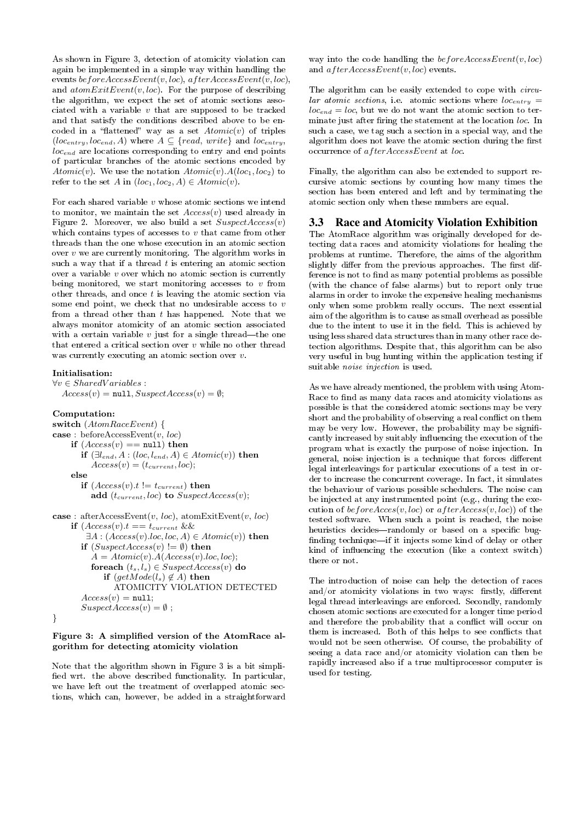As shown in Figure 3, detection of atomicity violation can again be implemented in a simple way within handling the events before $AccessEvent(v, loc), after AccessEvent(v, loc),$ and  $atomExitEvent(v, loc)$ . For the purpose of describing the algorithm, we expect the set of atomic sections associated with a variable  $v$  that are supposed to be tracked and that satisfy the conditions described above to be encoded in a "flattened" way as a set  $Atomic(v)$  of triples  $(loc_{entry}, loc_{end}, A)$  where  $A \subseteq \{read, write\}$  and  $loc_{entry}$ , locend are locations corresponding to entry and end points of particular branches of the atomic sections encoded by Atomic(v). We use the notation  $Atomic(v)$ .  $A(loc_1, loc_2)$  to refer to the set A in  $(loc_1, loc_2, A) \in Atomic(v)$ .

For each shared variable  $v$  whose atomic sections we intend to monitor, we maintain the set  $Access(v)$  used already in Figure 2. Moreover, we also build a set  $SuspectAccess(v)$ which contains types of accesses to  $v$  that came from other threads than the one whose execution in an atomic section over  $v$  we are currently monitoring. The algorithm works in such a way that if a thread  $t$  is entering an atomic section over a variable  $v$  over which no atomic section is currently being monitored, we start monitoring accesses to  $v$  from other threads, and once  $t$  is leaving the atomic section via some end point, we check that no undesirable access to  $v$ from a thread other than  $t$  has happened. Note that we always monitor atomicity of an atomic section associated with a certain variable  $v$  just for a single thread—the one that entered a critical section over  $v$  while no other thread was currently executing an atomic section over v.

#### Initialisation:

 $\forall v \in SharedVariables$ :  $Access(v) = null, SuspectAccess(v) = \emptyset;$ 

#### Computation:

switch (AtomRaceEvent) { case : before $\text{AccessEvent}(v, loc)$ if  $(Access(v) == null)$  then if  $(\exists l_{end}, A : (loc, l_{end}, A) \in Atomic(v))$  then  $Access(v) = (t_{current}, loc);$ else if  $(Access(v).t != t_{current})$  then add  $(t_{current}, loc)$  to  $SuspectAccess(v);$ case : afterAccessEvent $(v, loc)$ , atomExitEvent $(v, loc)$ if  $(Access(v).t == t_{current} \&$  $\exists A : (Access(v).loc, loc, A) \in Atomic(v))$  then if  $(SuspectAccess(v) := \emptyset)$  then  $A = Atomic(v).A(Access(v).loc, loc);$ foreach  $(t_s, l_s) \in SuspectAccess(v)$  do if  $(getMode(l_s) \notin A)$  then ATOMICITY VIOLATION DETECTED  $Access(v) = null;$  $SuspectAccess(v) = \emptyset$ ; }

#### Figure 3: A simplified version of the AtomRace algorithm for detecting atomicity violation

Note that the algorithm shown in Figure 3 is a bit simpli fied wrt. the above described functionality. In particular, we have left out the treatment of overlapped atomic sections, which can, however, be added in a straightforward

way into the code handling the  $beforeAccessEvent(v, loc)$ and  $after AccessEvent(v, loc)$  events.

The algorithm can be easily extended to cope with circular atomic sections, i.e. atomic sections where  $loc_{entry}$  $loc_{end} = loc$ , but we do not want the atomic section to terminate just after firing the statement at the location loc. In such a case, we tag such a section in a special way, and the algorithm does not leave the atomic section during the first occurrence of afterAccessEvent at loc.

Finally, the algorithm can also be extended to support recursive atomic sections by counting how many times the section has been entered and left and by terminating the atomic section only when these numbers are equal.

### 3.3 Race and Atomicity Violation Exhibition

The AtomRace algorithm was originally developed for detecting data races and atomicity violations for healing the problems at runtime. Therefore, the aims of the algorithm slightly differ from the previous approaches. The first difference is not to find as many potential problems as possible (with the chance of false alarms) but to report only true alarms in order to invoke the expensive healing mechanisms only when some problem really occurs. The next essential aim of the algorithm is to cause as small overhead as possible due to the intent to use it in the field. This is achieved by using less shared data structures than in many other race detection algorithms. Despite that, this algorithm can be also very useful in bug hunting within the application testing if suitable noise injection is used.

As we have already mentioned, the problem with using Atom-Race to find as many data races and atomicity violations as possible is that the considered atomic sections may be very short and the probability of observing a real conflict on them may be very low. However, the probability may be significantly increased by suitably influencing the execution of the program what is exactly the purpose of noise injection. In general, noise injection is a technique that forces different legal interleavings for particular executions of a test in order to increase the concurrent coverage. In fact, it simulates the behaviour of various possible schedulers. The noise can be injected at any instrumented point (e.g., during the execution of  $beforeAccess(v, loc)$  or  $afterAccess(v, loc))$  of the tested software. When such a point is reached, the noise heuristics decides-randomly or based on a specific bugfinding technique—if it injects some kind of delay or other kind of influencing the execution (like a context switch) there or not.

The introduction of noise can help the detection of races and/or atomicity violations in two ways: firstly, different legal thread interleavings are enforced. Secondly, randomly chosen atomic sections are executed for a longer time period and therefore the probability that a conflict will occur on them is increased. Both of this helps to see conflicts that would not be seen otherwise. Of course, the probability of seeing a data race and/or atomicity violation can then be rapidly increased also if a true multiprocessor computer is used for testing.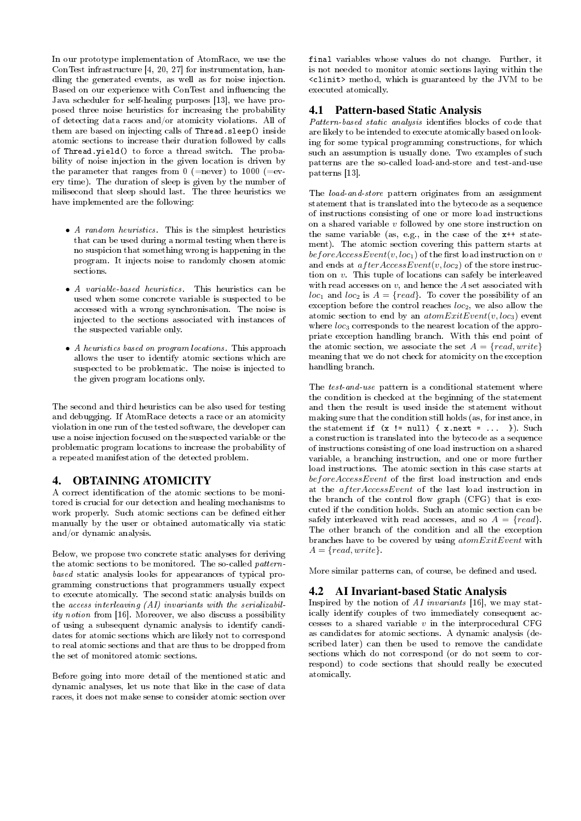In our prototype implementation of AtomRace, we use the ConTest infrastructure [4, 20, 27] for instrumentation, handling the generated events, as well as for noise injection. Based on our experience with ConTest and influencing the Java scheduler for self-healing purposes [13], we have proposed three noise heuristics for increasing the probability of detecting data races and/or atomicity violations. All of them are based on injecting calls of Thread.sleep() inside atomic sections to increase their duration followed by calls of Thread.yield() to force a thread switch. The probability of noise injection in the given location is driven by the parameter that ranges from 0 (=never) to 1000 (=every time). The duration of sleep is given by the number of milisecond that sleep should last. The three heuristics we have implemented are the following:

- A random heuristics. This is the simplest heuristics that can be used during a normal testing when there is no suspicion that something wrong is happening in the program. It injects noise to randomly chosen atomic sections.
- A variable-based heuristics. This heuristics can be used when some concrete variable is suspected to be accessed with a wrong synchronisation. The noise is injected to the sections associated with instances of the suspected variable only.
- A heuristics based on program locations. This approach allows the user to identify atomic sections which are suspected to be problematic. The noise is injected to the given program locations only.

The second and third heuristics can be also used for testing and debugging. If AtomRace detects a race or an atomicity violation in one run of the tested software, the developer can use a noise injection focused on the suspected variable or the problematic program locations to increase the probability of a repeated manifestation of the detected problem.

### 4. OBTAINING ATOMICITY

A correct identification of the atomic sections to be monitored is crucial for our detection and healing mechanisms to work properly. Such atomic sections can be defined either manually by the user or obtained automatically via static and/or dynamic analysis.

Below, we propose two concrete static analyses for deriving the atomic sections to be monitored. The so-called patternbased static analysis looks for appearances of typical programming constructions that programmers usually expect to execute atomically. The second static analysis builds on the access interleaving (AI) invariants with the serializability notion from [16]. Moreover, we also discuss a possibility of using a subsequent dynamic analysis to identify candidates for atomic sections which are likely not to correspond to real atomic sections and that are thus to be dropped from the set of monitored atomic sections.

Before going into more detail of the mentioned static and dynamic analyses, let us note that like in the case of data races, it does not make sense to consider atomic section over

final variables whose values do not change. Further, it is not needed to monitor atomic sections laying within the <clinit> method, which is guaranteed by the JVM to be executed atomically.

# 4.1 Pattern-based Static Analysis

Pattern-based static analysis identifies blocks of code that are likely to be intended to execute atomically based on looking for some typical programming constructions, for which such an assumption is usually done. Two examples of such patterns are the so-called load-and-store and test-and-use patterns [13].

The load-and-store pattern originates from an assignment statement that is translated into the bytecode as a sequence of instructions consisting of one or more load instructions on a shared variable  $v$  followed by one store instruction on the same variable (as, e.g., in the case of the x++ statement). The atomic section covering this pattern starts at before  $AccessEvent(v, loc_1)$  of the first load instruction on v and ends at  $after AccessEvent(v, loc_2)$  of the store instruction on v. This tuple of locations can safely be interleaved with read accesses on  $v$ , and hence the  $A$  set associated with  $loc_1$  and  $loc_2$  is  $A = \{read\}$ . To cover the possibility of an exception before the control reaches  $loc_2$ , we also allow the atomic section to end by an  $atomExitEvent(v, loc_3)$  event where  $loc<sub>3</sub>$  corresponds to the nearest location of the appropriate exception handling branch. With this end point of the atomic section, we associate the set  $A = \{read, write\}$ meaning that we do not check for atomicity on the exception handling branch.

The test-and-use pattern is a conditional statement where the condition is checked at the beginning of the statement and then the result is used inside the statement without making sure that the condition still holds (as, for instance, in the statement if  $(x := null)$   $\{x.next = ... \}$ . Such a construction is translated into the bytecode as a sequence of instructions consisting of one load instruction on a shared variable, a branching instruction, and one or more further load instructions. The atomic section in this case starts at  $beforeAccessEvent$  of the first load instruction and ends at the afterAccessEvent of the last load instruction in the branch of the control flow graph  $(CFG)$  that is executed if the condition holds. Such an atomic section can be safely interleaved with read accesses, and so  $A = \{read\}$ . The other branch of the condition and all the exception branches have to be covered by using  $atomExitEvent$  with  $A = \{read, write\}.$ 

More similar patterns can, of course, be defined and used.

### 4.2 AI Invariant-based Static Analysis

Inspired by the notion of AI invariants [16], we may statically identify couples of two immediately consequent accesses to a shared variable  $v$  in the interprocedural CFG as candidates for atomic sections. A dynamic analysis (described later) can then be used to remove the candidate sections which do not correspond (or do not seem to correspond) to code sections that should really be executed atomically.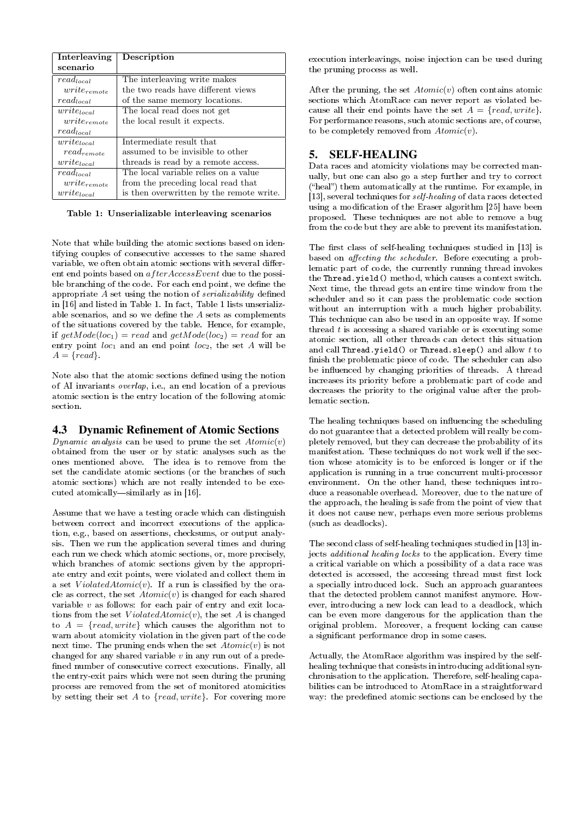| Interleaving                   | Description                              |  |  |  |
|--------------------------------|------------------------------------------|--|--|--|
| scenario                       |                                          |  |  |  |
| $read_{local}$                 | The interleaving write makes             |  |  |  |
| $write_{remote}$               | the two reads have different views       |  |  |  |
| $read_{local}$                 | of the same memory locations.            |  |  |  |
| $write_{local}$                | The local read does not get              |  |  |  |
| $write_{remote}$               | the local result it expects.             |  |  |  |
| $read_{local}$                 |                                          |  |  |  |
| $write_{local}$                | Intermediate result that                 |  |  |  |
| $read_{remote}$                | assumed to be invisible to other         |  |  |  |
| $write_{local}$                | threads is read by a remote access.      |  |  |  |
| $\bar{r}$ ead <sub>local</sub> | The local variable relies on a value     |  |  |  |
| $write_{remote}$               | from the preceding local read that       |  |  |  |
| $write_{local}$                | is then overwritten by the remote write. |  |  |  |

Table 1: Unserializable interleaving scenarios

Note that while building the atomic sections based on identifying couples of consecutive accesses to the same shared variable, we often obtain atomic sections with several different end points based on af terAccessEvent due to the possible branching of the code. For each end point, we define the appropriate  $A$  set using the notion of serializability defined in [16] and listed in Table 1. In fact, Table 1 lists unserializable scenarios, and so we define the  $A$  sets as complements of the situations covered by the table. Hence, for example, if  $getMode(loc_1) = read$  and  $getMode(loc_2) = read$  for an entry point  $loc_1$  and an end point  $loc_2$ , the set A will be  $A = \{read\}.$ 

Note also that the atomic sections defined using the notion of AI invariants overlap, i.e., an end location of a previous atomic section is the entry location of the following atomic section.

### 4.3 Dynamic Refinement of Atomic Sections

Dynamic analysis can be used to prune the set  $Atomic(v)$ obtained from the user or by static analyses such as the ones mentioned above. The idea is to remove from the set the candidate atomic sections (or the branches of such atomic sections) which are not really intended to be executed atomically—similarly as in  $[16]$ .

Assume that we have a testing oracle which can distinguish between correct and incorrect executions of the application, e.g., based on assertions, checksums, or output analysis. Then we run the application several times and during each run we check which atomic sections, or, more precisely, which branches of atomic sections given by the appropriate entry and exit points, were violated and collect them in a set  $ViolatedAtomic(v)$ . If a run is classified by the oracle as correct, the set  $Atomic(v)$  is changed for each shared variable  $v$  as follows: for each pair of entry and exit locations from the set  $ViolatedAtomic(v)$ , the set A is changed to  $A = \{read, write\}$  which causes the algorithm not to warn about atomicity violation in the given part of the code next time. The pruning ends when the set  $Atomic(v)$  is not changed for any shared variable  $v$  in any run out of a predefined number of consecutive correct executions. Finally, all the entry-exit pairs which were not seen during the pruning process are removed from the set of monitored atomicities by setting their set  $A$  to  $\{read, write\}$ . For covering more

execution interleavings, noise injection can be used during the pruning process as well.

After the pruning, the set  $Atomic(v)$  often contains atomic sections which AtomRace can never report as violated because all their end points have the set  $A = \{read, write\}.$ For performance reasons, such atomic sections are, of course, to be completely removed from  $Atomic(v)$ .

### 5. SELF-HEALING

Data races and atomicity violations may be corrected manually, but one can also go a step further and try to correct ("heal") them automatically at the runtime. For example, in [13], several techniques for self-healing of data races detected using a modification of the Eraser algorithm [25] have been proposed. These techniques are not able to remove a bug from the code but they are able to prevent its manifestation.

The first class of self-healing techniques studied in [13] is based on *affecting the scheduler*. Before executing a problematic part of code, the currently running thread invokes the Thread.yield() method, which causes a context switch. Next time, the thread gets an entire time window from the scheduler and so it can pass the problematic code section without an interruption with a much higher probability. This technique can also be used in an opposite way. If some thread  $t$  is accessing a shared variable or is executing some atomic section, all other threads can detect this situation and call Thread.yield() or Thread.sleep() and allow t to finish the problematic piece of code. The scheduler can also be influenced by changing priorities of threads. A thread increases its priority before a problematic part of code and decreases the priority to the original value after the problematic section.

The healing techniques based on influencing the scheduling do not guarantee that a detected problem will really be completely removed, but they can decrease the probability of its manifestation. These techniques do not work well if the section whose atomicity is to be enforced is longer or if the application is running in a true concurrent multi-processor environment. On the other hand, these techniques introduce a reasonable overhead. Moreover, due to the nature of the approach, the healing is safe from the point of view that it does not cause new, perhaps even more serious problems (such as deadlocks).

The second class of self-healing techniques studied in [13] injects additional healing locks to the application. Every time a critical variable on which a possibility of a data race was detected is accessed, the accessing thread must first lock a specially introduced lock. Such an approach guarantees that the detected problem cannot manifest anymore. However, introducing a new lock can lead to a deadlock, which can be even more dangerous for the application than the original problem. Moreover, a frequent locking can cause a signicant performance drop in some cases.

Actually, the AtomRace algorithm was inspired by the selfhealing technique that consists in introducing additional synchronisation to the application. Therefore, self-healing capabilities can be introduced to AtomRace in a straightforward way: the predefined atomic sections can be enclosed by the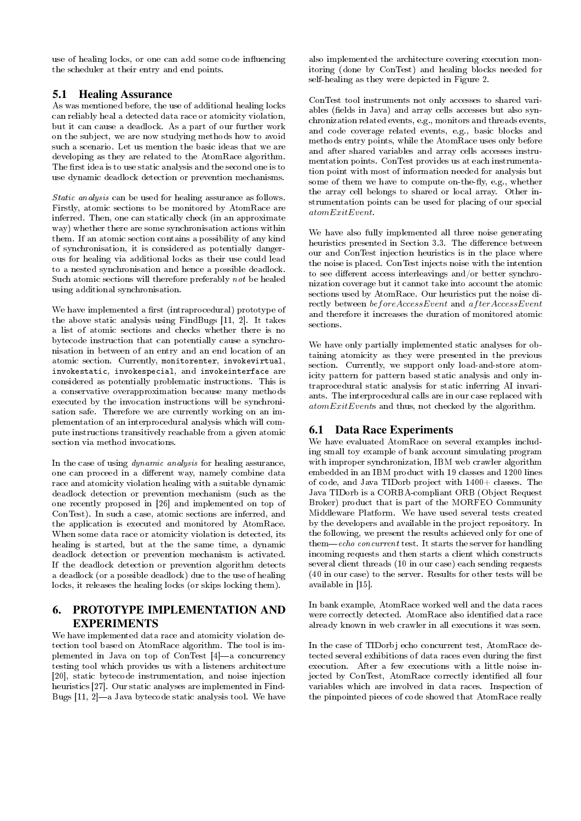use of healing locks, or one can add some code influencing the scheduler at their entry and end points.

### 5.1 Healing Assurance

As was mentioned before, the use of additional healing locks can reliably heal a detected data race or atomicity violation, but it can cause a deadlock. As a part of our further work on the subject, we are now studying methods how to avoid such a scenario. Let us mention the basic ideas that we are developing as they are related to the AtomRace algorithm. The first idea is to use static analysis and the second one is to use dynamic deadlock detection or prevention mechanisms.

Static analysis can be used for healing assurance as follows. Firstly, atomic sections to be monitored by AtomRace are inferred. Then, one can statically check (in an approximate way) whether there are some synchronisation actions within them. If an atomic section contains a possibility of any kind of synchronisation, it is considered as potentially dangerous for healing via additional locks as their use could lead to a nested synchronisation and hence a possible deadlock. Such atomic sections will therefore preferably not be healed using additional synchronisation.

We have implemented a first (intraprocedural) prototype of the above static analysis using FindBugs [11, 2]. It takes a list of atomic sections and checks whether there is no bytecode instruction that can potentially cause a synchronisation in between of an entry and an end location of an atomic section. Currently, monitorenter, invokevirtual, invokestatic, invokespecial, and invokeinterface are considered as potentially problematic instructions. This is a conservative overapproximation because many methods executed by the invocation instructions will be synchronisation safe. Therefore we are currently working on an implementation of an interprocedural analysis which will compute instructions transitively reachable from a given atomic section via method invocations.

In the case of using dynamic analysis for healing assurance, one can proceed in a different way, namely combine data race and atomicity violation healing with a suitable dynamic deadlock detection or prevention mechanism (such as the one recently proposed in [26] and implemented on top of ConTest). In such a case, atomic sections are inferred, and the application is executed and monitored by AtomRace. When some data race or atomicity violation is detected, its healing is started, but at the the same time, a dynamic deadlock detection or prevention mechanism is activated. If the deadlock detection or prevention algorithm detects a deadlock (or a possible deadlock) due to the use of healing locks, it releases the healing locks (or skips locking them).

# 6. PROTOTYPE IMPLEMENTATION AND EXPERIMENTS

We have implemented data race and atomicity violation detection tool based on AtomRace algorithm. The tool is implemented in Java on top of ConTest  $[4]$ -a concurrency testing tool which provides us with a listeners architecture [20], static bytecode instrumentation, and noise injection heuristics [27]. Our static analyses are implemented in Find-Bugs  $[11, 2]$ —a Java bytecode static analysis tool. We have

also implemented the architecture covering execution monitoring (done by ConTest) and healing blocks needed for self-healing as they were depicted in Figure 2.

ConTest tool instruments not only accesses to shared variables (fields in Java) and array cells accesses but also synchronization related events, e.g., monitors and threads events, and code coverage related events, e.g., basic blocks and methods entry points, while the AtomRace uses only before and after shared variables and array cells accesses instrumentation points. ConTest provides us at each instrumentation point with most of information needed for analysis but some of them we have to compute on-the-fly, e.g., whether the array cell belongs to shared or local array. Other instrumentation points can be used for placing of our special atomExitEvent.

We have also fully implemented all three noise generating heuristics presented in Section 3.3. The difference between our and ConTest injection heuristics is in the place where the noise is placed. ConTest injects noise with the intention to see different access interleavings and/or better synchronization coverage but it cannot take into account the atomic sections used by AtomRace. Our heuristics put the noise directly between beforeAccessEvent and afterAccessEvent and therefore it increases the duration of monitored atomic sections.

We have only partially implemented static analyses for obtaining atomicity as they were presented in the previous section. Currently, we support only load-and-store atomicity pattern for pattern based static analysis and only intraprocedural static analysis for static inferring AI invariants. The interprocedural calls are in our case replaced with  $atomic\,xitEvents$  and thus, not checked by the algorithm.

# 6.1 Data Race Experiments

We have evaluated AtomRace on several examples including small toy example of bank account simulating program with improper synchronization, IBM web crawler algorithm embedded in an IBM product with 19 classes and 1200 lines of code, and Java TIDorb project with 1400+ classes. The Java TIDorb is a CORBA-compliant ORB (Object Request Broker) product that is part of the MORFEO Community Middleware Platform. We have used several tests created by the developers and available in the project repository. In the following, we present the results achieved only for one of  $them—echo\ concurrent\ test. It starts the server for handling$ incoming requests and then starts a client which constructs several client threads (10 in our case) each sending requests (40 in our case) to the server. Results for other tests will be available in [15].

In bank example, AtomRace worked well and the data races were correctly detected. AtomRace also identified data race already known in web crawler in all executions it was seen.

In the case of TIDorbj echo concurrent test, AtomRace detected several exhibitions of data races even during the first execution. After a few executions with a little noise injected by ConTest, AtomRace correctly identified all four variables which are involved in data races. Inspection of the pinpointed pieces of code showed that AtomRace really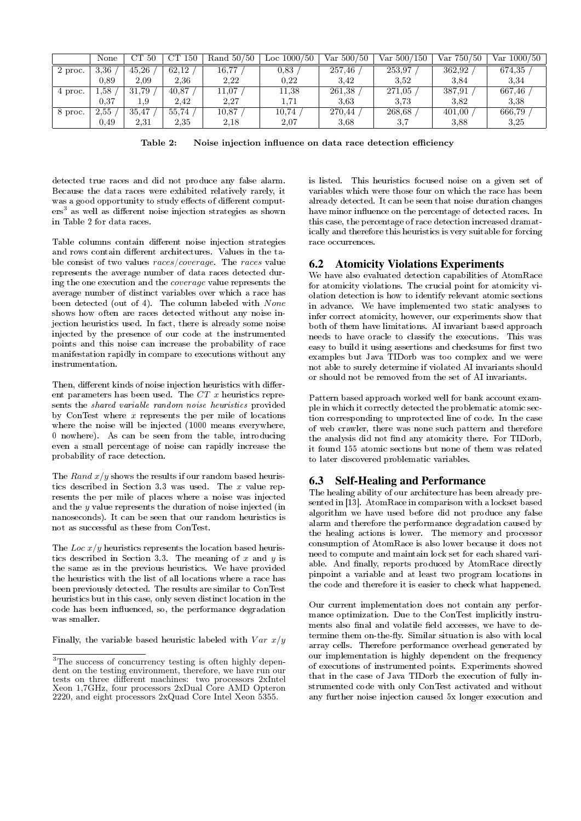|         | None | CT 50 | CТ<br>150 | Rand $50/50$ | Loc $1000/50$ | Var $500/50$ | Var 500/150 | Var $750/50$ | Var 1000/50 |
|---------|------|-------|-----------|--------------|---------------|--------------|-------------|--------------|-------------|
| 2 proc. | 3.36 | 45,26 | 62,12     | $16.77\,$    | 0.83          | 257,46       | 253,97      | 362,92       | 674,35      |
|         | 0.89 | 2,09  | 2,36      | 2.22         | 0.22          | 3.42         | 3,52        | 3.84         | 3.34        |
| 4 proc. | 1,58 | 31,79 | 40,87     | 11,07        | 11.38         | 261,38       | 271,05      | 387,91       | 667,46      |
|         | 0.37 | 1,9   | 2.42      | 2,27         | 1.71          | 3.63         | 3.73        | 3,82         | 3.38        |
| 8 proc. | 2,55 | 35,47 | 55,74     | 10.87        | $10.74\,$     | 270,44       | 268,68      | 401,00       | 666.79      |
|         | 0.49 | 2,31  | 2,35      | 2,18         | 2,07          | 3.68         | 3.7         | 3.88         | 3,25        |

Table 2: Noise injection influence on data race detection efficiency

detected true races and did not produce any false alarm. Because the data races were exhibited relatively rarely, it was a good opportunity to study effects of different computers<sup>3</sup> as well as different noise injection strategies as shown in Table 2 for data races.

Table columns contain different noise injection strategies and rows contain different architectures. Values in the table consist of two values races/coverage. The races value represents the average number of data races detected during the one execution and the coverage value represents the average number of distinct variables over which a race has been detected (out of 4). The column labeled with None shows how often are races detected without any noise injection heuristics used. In fact, there is already some noise injected by the presence of our code at the instrumented points and this noise can increase the probability of race manifestation rapidly in compare to executions without any instrumentation.

Then, different kinds of noise injection heuristics with different parameters has been used. The CT x heuristics represents the shared variable random noise heuristics provided by ConTest where  $x$  represents the per mile of locations where the noise will be injected (1000 means everywhere, 0 nowhere). As can be seen from the table, introducing even a small percentage of noise can rapidly increase the probability of race detection.

The Rand  $x/y$  shows the results if our random based heuristics described in Section 3.3 was used. The  $x$  value represents the per mile of places where a noise was injected and the y value represents the duration of noise injected (in nanoseconds). It can be seen that our random heuristics is not as successful as these from ConTest.

The Loc  $x/y$  heuristics represents the location based heuristics described in Section 3.3. The meaning of  $x$  and  $y$  is the same as in the previous heuristics. We have provided the heuristics with the list of all locations where a race has been previously detected. The results are similar to ConTest heuristics but in this case, only seven distinct location in the code has been influenced, so, the performance degradation was smaller.

Finally, the variable based heuristic labeled with  $Var\ x/y$ 

is listed. This heuristics focused noise on a given set of variables which were those four on which the race has been already detected. It can be seen that noise duration changes have minor influence on the percentage of detected races. In this case, the percentage of race detection increased dramatically and therefore this heuristics is very suitable for forcing race occurrences.

### 6.2 Atomicity Violations Experiments

We have also evaluated detection capabilities of AtomRace for atomicity violations. The crucial point for atomicity violation detection is how to identify relevant atomic sections in advance. We have implemented two static analyses to infer correct atomicity, however, our experiments show that both of them have limitations. AI invariant based approach needs to have oracle to classify the executions. This was easy to build it using assertions and checksums for first two examples but Java TIDorb was too complex and we were not able to surely determine if violated AI invariants should or should not be removed from the set of AI invariants.

Pattern based approach worked well for bank account example in which it correctly detected the problematic atomic section corresponding to unprotected line of code. In the case of web crawler, there was none such pattern and therefore the analysis did not find any atomicity there. For TIDorb, it found 155 atomic sections but none of them was related to later discovered problematic variables.

### 6.3 Self-Healing and Performance

The healing ability of our architecture has been already presented in [13]. AtomRace in comparison with a lockset based algorithm we have used before did not produce any false alarm and therefore the performance degradation caused by the healing actions is lower. The memory and processor consumption of AtomRace is also lower because it does not need to compute and maintain lock set for each shared variable. And finally, reports produced by AtomRace directly pinpoint a variable and at least two program locations in the code and therefore it is easier to check what happened.

Our current implementation does not contain any performance optimization. Due to the ConTest implicitly instruments also final and volatile field accesses, we have to determine them on-the-fly. Similar situation is also with local array cells. Therefore performance overhead generated by our implementation is highly dependent on the frequency of executions of instrumented points. Experiments showed that in the case of Java TIDorb the execution of fully instrumented code with only ConTest activated and without any further noise injection caused 5x longer execution and

<sup>&</sup>lt;sup>3</sup>The success of concurrency testing is often highly dependent on the testing environment, therefore, we have run our tests on three different machines: two processors 2xIntel Xeon 1,7GHz, four processors 2xDual Core AMD Opteron 2220, and eight processors 2xQuad Core Intel Xeon 5355.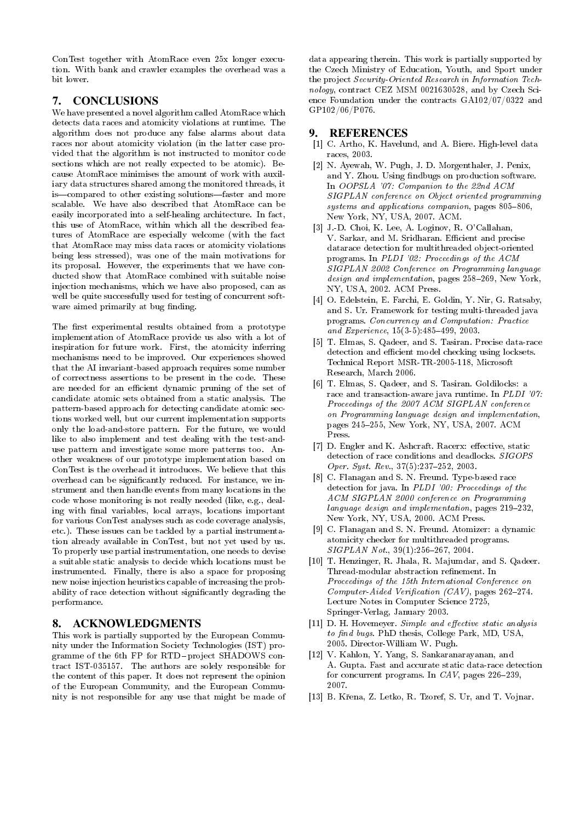ConTest together with AtomRace even 25x longer execution. With bank and crawler examples the overhead was a bit lower.

# 7. CONCLUSIONS

We have presented a novel algorithm called AtomRace which detects data races and atomicity violations at runtime. The algorithm does not produce any false alarms about data races nor about atomicity violation (in the latter case provided that the algorithm is not instructed to monitor code sections which are not really expected to be atomic). Because AtomRace minimises the amount of work with auxiliary data structures shared among the monitored threads, it is—compared to other existing solutions—faster and more scalable. We have also described that AtomRace can be easily incorporated into a self-healing architecture. In fact, this use of AtomRace, within which all the described features of AtomRace are especially welcome (with the fact that AtomRace may miss data races or atomicity violations being less stressed), was one of the main motivations for its proposal. However, the experiments that we have conducted show that AtomRace combined with suitable noise injection mechanisms, which we have also proposed, can as well be quite successfully used for testing of concurrent software aimed primarily at bug finding.

The first experimental results obtained from a prototype implementation of AtomRace provide us also with a lot of inspiration for future work. First, the atomicity inferring mechanisms need to be improved. Our experiences showed that the AI invariant-based approach requires some number of correctness assertions to be present in the code. These are needed for an efficient dynamic pruning of the set of candidate atomic sets obtained from a static analysis. The pattern-based approach for detecting candidate atomic sections worked well, but our current implementation supports only the load-and-store pattern. For the future, we would like to also implement and test dealing with the test-anduse pattern and investigate some more patterns too. Another weakness of our prototype implementation based on ConTest is the overhead it introduces. We believe that this overhead can be signicantly reduced. For instance, we instrument and then handle events from many locations in the code whose monitoring is not really needed (like, e.g., dealing with final variables, local arrays, locations important for various ConTest analyses such as code coverage analysis, etc.). These issues can be tackled by a partial instrumentation already available in ConTest, but not yet used by us. To properly use partial instrumentation, one needs to devise a suitable static analysis to decide which locations must be instrumented. Finally, there is also a space for proposing new noise injection heuristics capable of increasing the probability of race detection without signicantly degrading the performance.

# 8. ACKNOWLEDGMENTS

This work is partially supported by the European Community under the Information Society Technologies (IST) programme of the 6th FP for RTD-project SHADOWS contract IST-035157. The authors are solely responsible for the content of this paper. It does not represent the opinion of the European Community, and the European Community is not responsible for any use that might be made of data appearing therein. This work is partially supported by the Czech Ministry of Education, Youth, and Sport under the project Security-Oriented Research in Information Technology, contract CEZ MSM 0021630528, and by Czech Science Foundation under the contracts GA102/07/0322 and GP102/06/P076.

# 9. REFERENCES

- [1] C. Artho, K. Havelund, and A. Biere. High-level data races, 2003.
- [2] N. Ayewah, W. Pugh, J. D. Morgenthaler, J. Penix, and Y. Zhou. Using findbugs on production software. In OOPSLA '07: Companion to the 22nd ACM SIGPLAN conference on Object oriented programming  $systems and applications companion, pages 805-806,$ New York, NY, USA, 2007. ACM.
- [3] J.-D. Choi, K. Lee, A. Loginov, R. O'Callahan, V. Sarkar, and M. Sridharan. Efficient and precise datarace detection for multithreaded object-oriented programs. In PLDI '02: Proceedings of the ACM SIGPLAN 2002 Conference on Programming language  $design$  and implementation, pages  $258-269$ , New York, NY, USA, 2002. ACM Press.
- [4] O. Edelstein, E. Farchi, E. Goldin, Y. Nir, G. Ratsaby, and S. Ur. Framework for testing multi-threaded java programs. Concurrency and Computation: Practice and Experience,  $15(3-5):485-499$ ,  $2003$ .
- [5] T. Elmas, S. Qadeer, and S. Tasiran. Precise data-race detection and efficient model checking using locksets. Technical Report MSR-TR-2005-118, Microsoft Research, March 2006.
- [6] T. Elmas, S. Qadeer, and S. Tasiran. Goldilocks: a race and transaction-aware java runtime. In PLDI '07: Proceedings of the 2007 ACM SIGPLAN conference on Programming language design and implementation, pages 245-255, New York, NY, USA, 2007. ACM Press.
- [7] D. Engler and K. Ashcraft. Racerx: effective, static detection of race conditions and deadlocks. SIGOPS Oper. Syst. Rev.,  $37(5):237-252$ , 2003.
- [8] C. Flanagan and S. N. Freund. Type-based race detection for java. In PLDI '00: Proceedings of the ACM SIGPLAN 2000 conference on Programming language design and implementation, pages  $219-232$ , New York, NY, USA, 2000. ACM Press.
- [9] C. Flanagan and S. N. Freund. Atomizer: a dynamic atomicity checker for multithreaded programs.  $SIGPLAN Not., 39(1):256-267, 2004.$
- [10] T. Henzinger, R. Jhala, R. Majumdar, and S. Qadeer. Thread-modular abstraction refinement. In Proceedings of the 15th International Conference on  $Computer$ -Aided Verification (CAV), pages 262-274. Lecture Notes in Computer Science 2725, Springer-Verlag, January 2003.
- $[11]$  D. H. Hovemeyer. Simple and effective static analysis to find bugs. PhD thesis, College Park, MD, USA, 2005. Director-William W. Pugh.
- [12] V. Kahlon, Y. Yang, S. Sankaranarayanan, and A. Gupta. Fast and accurate static data-race detection for concurrent programs. In  $CAV$ , pages  $226-239$ , 2007.
- [13] B. Křena, Z. Letko, R. Tzoref, S. Ur, and T. Vojnar.